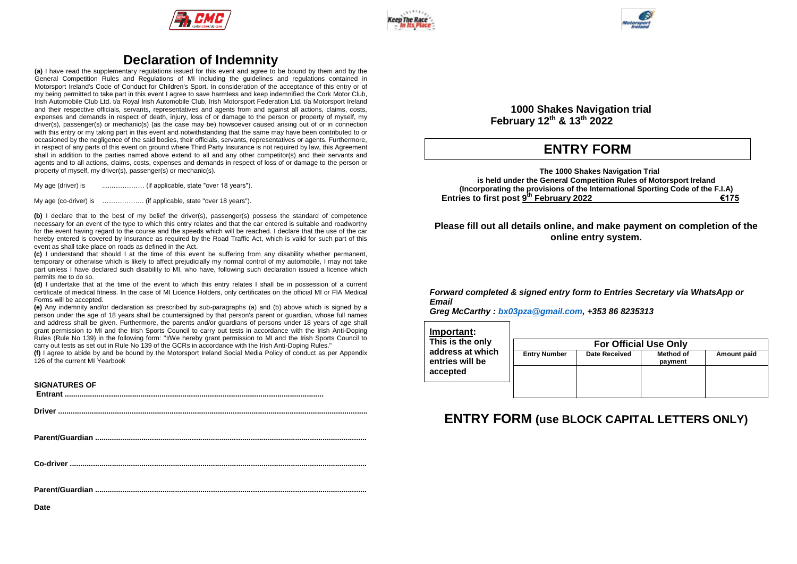





#### **Declaration of Indemnity**

**(a)** I have read the supplementary regulations issued for this event and agree to be bound by them and by the General Competition Rules and Regulations of MI including the guidelines and regulations contained in Motorsport Ireland's Code of Conduct for Children's Sport. In consideration of the acceptance of this entry or of my being permitted to take part in this event I agree to save harmless and keep indemnified the Cork Motor Club, Irish Automobile Club Ltd. t/a Royal Irish Automobile Club, Irish Motorsport Federation Ltd. t/a Motorsport Ireland and their respective officials, servants, representatives and agents from and against all actions, claims, costs, expenses and demands in respect of death, injury, loss of or damage to the person or property of myself, my driver(s), passenger(s) or mechanic(s) (as the case may be) howsoever caused arising out of or in connection with this entry or my taking part in this event and notwithstanding that the same may have been contributed to or occasioned by the negligence of the said bodies, their officials, servants, representatives or agents. Furthermore, in respect of any parts of this event on ground where Third Party Insurance is not required by law, this Agreement shall in addition to the parties named above extend to all and any other competitor(s) and their servants and agents and to all actions, claims, costs, expenses and demands in respect of loss of or damage to the person or property of myself, my driver(s), passenger(s) or mechanic(s).

My age (driver) is .....…………… (if applicable, state "over 18 years").

My age (co-driver) is ………………. (if applicable, state "over 18 years").

**(b)** I declare that to the best of my belief the driver(s), passenger(s) possess the standard of competence necessary for an event of the type to which this entry relates and that the car entered is suitable and roadworthy for the event having regard to the course and the speeds which will be reached. I declare that the use of the car hereby entered is covered by Insurance as required by the Road Traffic Act, which is valid for such part of this event as shall take place on roads as defined in the Act.

**(c)** I understand that should I at the time of this event be suffering from any disability whether permanent, temporary or otherwise which is likely to affect prejudicially my normal control of my automobile, I may not take part unless I have declared such disability to MI, who have, following such declaration issued a licence which permits me to do so.

**(d)** I undertake that at the time of the event to which this entry relates I shall be in possession of a current certificate of medical fitness. In the case of MI Licence Holders, only certificates on the official MI or FIA Medical Forms will be accepted.

**(e)** Any indemnity and/or declaration as prescribed by sub-paragraphs (a) and (b) above which is signed by a person under the age of 18 years shall be countersigned by that person's parent or guardian, whose full names and address shall be given. Furthermore, the parents and/or guardians of persons under 18 years of age shall grant permission to MI and the Irish Sports Council to carry out tests in accordance with the Irish Anti-Doping Rules (Rule No 139) in the following form: "I/We hereby grant permission to MI and the Irish Sports Council to carry out tests as set out in Rule No 139 of the GCRs in accordance with the Irish Anti-Doping Rules."

**(f)** I agree to abide by and be bound by the Motorsport Ireland Social Media Policy of conduct as per Appendix 126 of the current MI Yearbook

#### **SIGNATURES OF**

#### **1000 Shakes Navigation trial February 12th & 13th 2022**

## **ENTRY FORM**

**The 1000 Shakes Navigation Trial is held under the General Competition Rules of Motorsport Ireland (Incorporating the provisions of the International Sporting Code of the F.I.A)**  Entries to first post  $9^{th}$  February 2022 **Entries E175** 

**Please fill out all details online, and make payment on completion of the online entry system.**

*Forward completed & signed entry form to Entries Secretary via WhatsApp or Email*

*Greg McCarthy : [bx03pza@gmail.com,](mailto:bx03pza@gmail.com) +353 86 8235313*

| Important: |  |
|------------|--|
|------------|--|

| This is the only                    | <b>For Official Use Only</b> |                      |                      |             |  |  |
|-------------------------------------|------------------------------|----------------------|----------------------|-------------|--|--|
| address at which<br>entries will be | <b>Entry Number</b>          | <b>Date Received</b> | Method of<br>payment | Amount paid |  |  |
| accepted                            |                              |                      |                      |             |  |  |
|                                     |                              |                      |                      |             |  |  |

### **ENTRY FORM (use BLOCK CAPITAL LETTERS ONLY)**

**Date**